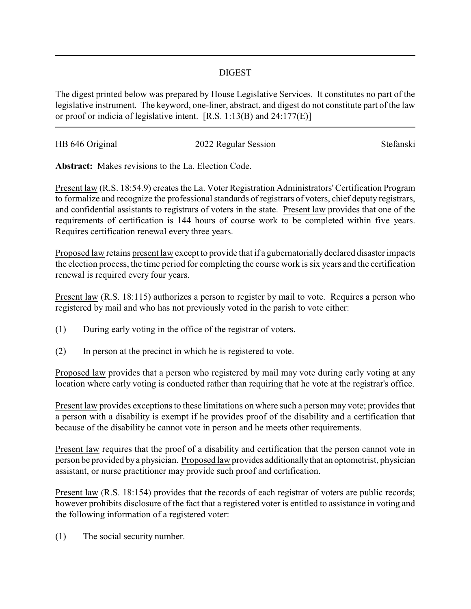## DIGEST

The digest printed below was prepared by House Legislative Services. It constitutes no part of the legislative instrument. The keyword, one-liner, abstract, and digest do not constitute part of the law or proof or indicia of legislative intent. [R.S. 1:13(B) and 24:177(E)]

| HB 646 Original | 2022 Regular Session | Stefanski |
|-----------------|----------------------|-----------|
|                 |                      |           |

**Abstract:** Makes revisions to the La. Election Code.

Present law (R.S. 18:54.9) creates the La. Voter Registration Administrators' Certification Program to formalize and recognize the professional standards of registrars of voters, chief deputy registrars, and confidential assistants to registrars of voters in the state. Present law provides that one of the requirements of certification is 144 hours of course work to be completed within five years. Requires certification renewal every three years.

Proposed law retains present law except to provide that if a gubernatorially declared disaster impacts the election process, the time period for completing the course work is six years and the certification renewal is required every four years.

Present law (R.S. 18:115) authorizes a person to register by mail to vote. Requires a person who registered by mail and who has not previously voted in the parish to vote either:

- (1) During early voting in the office of the registrar of voters.
- (2) In person at the precinct in which he is registered to vote.

Proposed law provides that a person who registered by mail may vote during early voting at any location where early voting is conducted rather than requiring that he vote at the registrar's office.

Present law provides exceptions to these limitations on where such a person may vote; provides that a person with a disability is exempt if he provides proof of the disability and a certification that because of the disability he cannot vote in person and he meets other requirements.

Present law requires that the proof of a disability and certification that the person cannot vote in person be provided bya physician. Proposed law provides additionallythat an optometrist, physician assistant, or nurse practitioner may provide such proof and certification.

Present law (R.S. 18:154) provides that the records of each registrar of voters are public records; however prohibits disclosure of the fact that a registered voter is entitled to assistance in voting and the following information of a registered voter:

(1) The social security number.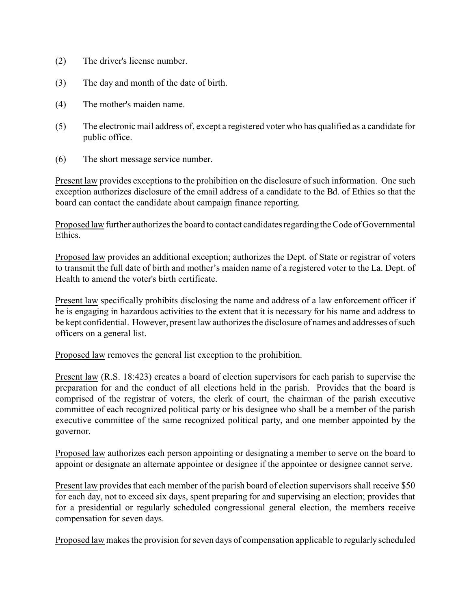- (2) The driver's license number.
- (3) The day and month of the date of birth.
- (4) The mother's maiden name.
- (5) The electronic mail address of, except a registered voter who has qualified as a candidate for public office.
- (6) The short message service number.

Present law provides exceptions to the prohibition on the disclosure of such information. One such exception authorizes disclosure of the email address of a candidate to the Bd. of Ethics so that the board can contact the candidate about campaign finance reporting.

Proposed law further authorizes the board to contact candidates regarding the Code of Governmental Ethics.

Proposed law provides an additional exception; authorizes the Dept. of State or registrar of voters to transmit the full date of birth and mother's maiden name of a registered voter to the La. Dept. of Health to amend the voter's birth certificate.

Present law specifically prohibits disclosing the name and address of a law enforcement officer if he is engaging in hazardous activities to the extent that it is necessary for his name and address to be kept confidential. However, present law authorizes the disclosure of names and addresses of such officers on a general list.

Proposed law removes the general list exception to the prohibition.

Present law (R.S. 18:423) creates a board of election supervisors for each parish to supervise the preparation for and the conduct of all elections held in the parish. Provides that the board is comprised of the registrar of voters, the clerk of court, the chairman of the parish executive committee of each recognized political party or his designee who shall be a member of the parish executive committee of the same recognized political party, and one member appointed by the governor.

Proposed law authorizes each person appointing or designating a member to serve on the board to appoint or designate an alternate appointee or designee if the appointee or designee cannot serve.

Present law provides that each member of the parish board of election supervisors shall receive \$50 for each day, not to exceed six days, spent preparing for and supervising an election; provides that for a presidential or regularly scheduled congressional general election, the members receive compensation for seven days.

Proposed law makes the provision for seven days of compensation applicable to regularly scheduled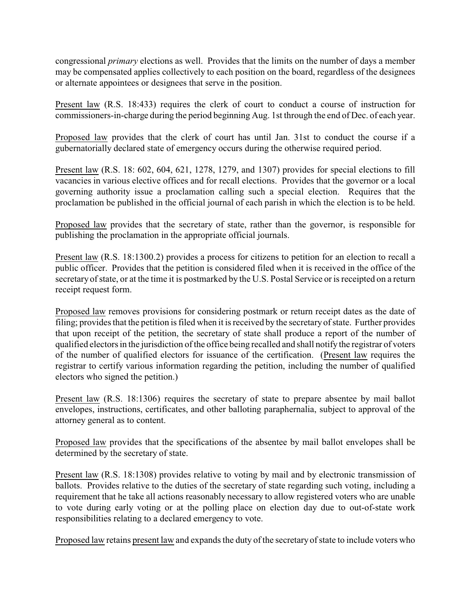congressional *primary* elections as well. Provides that the limits on the number of days a member may be compensated applies collectively to each position on the board, regardless of the designees or alternate appointees or designees that serve in the position.

Present law (R.S. 18:433) requires the clerk of court to conduct a course of instruction for commissioners-in-charge during the period beginning Aug. 1st through the end of Dec. of each year.

Proposed law provides that the clerk of court has until Jan. 31st to conduct the course if a gubernatorially declared state of emergency occurs during the otherwise required period.

Present law (R.S. 18: 602, 604, 621, 1278, 1279, and 1307) provides for special elections to fill vacancies in various elective offices and for recall elections. Provides that the governor or a local governing authority issue a proclamation calling such a special election. Requires that the proclamation be published in the official journal of each parish in which the election is to be held.

Proposed law provides that the secretary of state, rather than the governor, is responsible for publishing the proclamation in the appropriate official journals.

Present law (R.S. 18:1300.2) provides a process for citizens to petition for an election to recall a public officer. Provides that the petition is considered filed when it is received in the office of the secretary of state, or at the time it is postmarked by the U.S. Postal Service or is receipted on a return receipt request form.

Proposed law removes provisions for considering postmark or return receipt dates as the date of filing; provides that the petition is filed when it is received by the secretaryof state. Further provides that upon receipt of the petition, the secretary of state shall produce a report of the number of qualified electors in the jurisdiction of the office being recalled and shall notify the registrar of voters of the number of qualified electors for issuance of the certification. (Present law requires the registrar to certify various information regarding the petition, including the number of qualified electors who signed the petition.)

Present law (R.S. 18:1306) requires the secretary of state to prepare absentee by mail ballot envelopes, instructions, certificates, and other balloting paraphernalia, subject to approval of the attorney general as to content.

Proposed law provides that the specifications of the absentee by mail ballot envelopes shall be determined by the secretary of state.

Present law (R.S. 18:1308) provides relative to voting by mail and by electronic transmission of ballots. Provides relative to the duties of the secretary of state regarding such voting, including a requirement that he take all actions reasonably necessary to allow registered voters who are unable to vote during early voting or at the polling place on election day due to out-of-state work responsibilities relating to a declared emergency to vote.

Proposed law retains present law and expands the duty of the secretaryof state to include voters who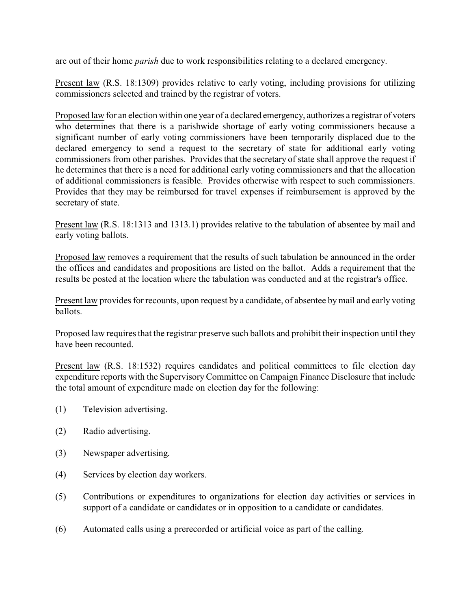are out of their home *parish* due to work responsibilities relating to a declared emergency.

Present law (R.S. 18:1309) provides relative to early voting, including provisions for utilizing commissioners selected and trained by the registrar of voters.

Proposed law for an election within one year of a declared emergency, authorizes a registrar of voters who determines that there is a parishwide shortage of early voting commissioners because a significant number of early voting commissioners have been temporarily displaced due to the declared emergency to send a request to the secretary of state for additional early voting commissioners from other parishes. Provides that the secretary of state shall approve the request if he determines that there is a need for additional early voting commissioners and that the allocation of additional commissioners is feasible. Provides otherwise with respect to such commissioners. Provides that they may be reimbursed for travel expenses if reimbursement is approved by the secretary of state.

Present law (R.S. 18:1313 and 1313.1) provides relative to the tabulation of absentee by mail and early voting ballots.

Proposed law removes a requirement that the results of such tabulation be announced in the order the offices and candidates and propositions are listed on the ballot. Adds a requirement that the results be posted at the location where the tabulation was conducted and at the registrar's office.

Present law provides for recounts, upon request by a candidate, of absentee by mail and early voting ballots.

Proposed law requires that the registrar preserve such ballots and prohibit their inspection until they have been recounted.

Present law (R.S. 18:1532) requires candidates and political committees to file election day expenditure reports with the Supervisory Committee on Campaign Finance Disclosure that include the total amount of expenditure made on election day for the following:

- (1) Television advertising.
- (2) Radio advertising.
- (3) Newspaper advertising.
- (4) Services by election day workers.
- (5) Contributions or expenditures to organizations for election day activities or services in support of a candidate or candidates or in opposition to a candidate or candidates.
- (6) Automated calls using a prerecorded or artificial voice as part of the calling.